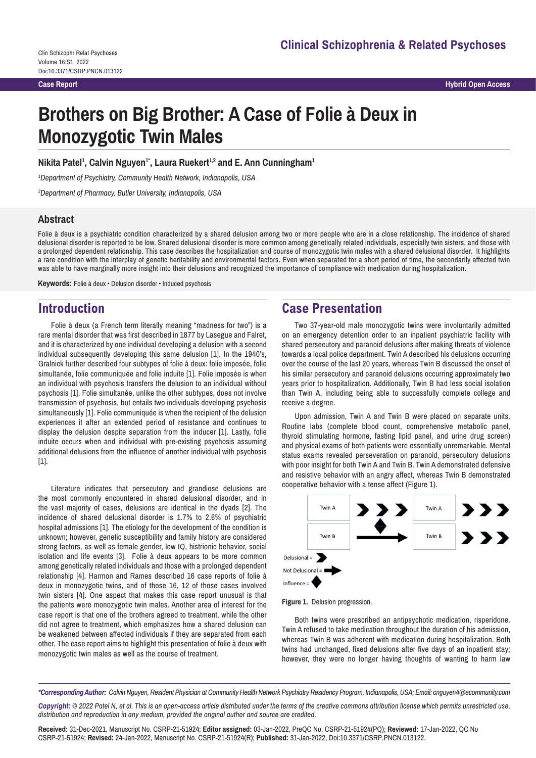**Hybrid Open Access**

# **Brothers on Big Brother: A Case of Folie à Deux in Monozygotic Twin Males**

#### Nikita Patel<sup>1</sup>, Calvin Nguyen<sup>1</sup>°, Laura Ruekert<sup>1,2</sup> and E. Ann Cunningham<sup>1</sup>

*1 Department of Psychiatry, Community Health Network, Indianapolis, USA*

*2 Department of Pharmacy, Butler University, Indianapolis, USA*

#### **Abstract**

Folie à deux is a psychiatric condition characterized by a shared delusion among two or more people who are in a close relationship. The incidence of shared delusional disorder is reported to be low. Shared delusional disorder is more common among genetically related individuals, especially twin sisters, and those with a prolonged dependent relationship. This case describes the hospitalization and course of monozygotic twin males with a shared delusional disorder. It highlights a rare condition with the interplay of genetic heritability and environmental factors. Even when separated for a short period of time, the secondarily affected twin was able to have marginally more insight into their delusions and recognized the importance of compliance with medication during hospitalization.

**Keywords:** Folie à deux • Delusion disorder • Induced psychosis

## **Introduction**

Folie à deux (a French term literally meaning "madness for two") is a rare mental disorder that was first described in 1877 by Lasegue and Falret, and it is characterized by one individual developing a delusion with a second individual subsequently developing this same delusion [1]. In the 1940's, Gralnick further described four subtypes of folie à deux: folie imposée, folie simultanée, folie communiquée and folie induite [1]. Folie imposée is when an individual with psychosis transfers the delusion to an individual without psychosis [1]. Folie simultanée, unlike the other subtypes, does not involve transmission of psychosis, but entails two individuals developing psychosis simultaneously [1]. Folie communiquée is when the recipient of the delusion experiences it after an extended period of resistance and continues to display the delusion despite separation from the inducer [1]. Lastly, folie induite occurs when and individual with pre-existing psychosis assuming additional delusions from the influence of another individual with psychosis [1].

Literature indicates that persecutory and grandiose delusions are the most commonly encountered in shared delusional disorder, and in the vast majority of cases, delusions are identical in the dyads [2]. The incidence of shared delusional disorder is 1.7% to 2.6% of psychiatric hospital admissions [1]. The etiology for the development of the condition is unknown; however, genetic susceptibility and family history are considered strong factors, as well as female gender, low IQ, histrionic behavior, social isolation and life events [3]. Folie à deux appears to be more common among genetically related individuals and those with a prolonged dependent relationship [4]. Harmon and Rames described 16 case reports of folie à deux in monozygotic twins, and of those 16, 12 of those cases involved twin sisters [4]. One aspect that makes this case report unusual is that the patients were monozygotic twin males. Another area of interest for the case report is that one of the brothers agreed to treatment, while the other did not agree to treatment, which emphasizes how a shared delusion can be weakened between affected individuals if they are separated from each other. The case report aims to highlight this presentation of folie à deux with monozygotic twin males as well as the course of treatment.

# **Case Presentation**

Two 37-year-old male monozygotic twins were involuntarily admitted on an emergency detention order to an inpatient psychiatric facility with shared persecutory and paranoid delusions after making threats of violence towards a local police department. Twin A described his delusions occurring over the course of the last 20 years, whereas Twin B discussed the onset of his similar persecutory and paranoid delusions occurring approximately two years prior to hospitalization. Additionally, Twin B had less social isolation than Twin A, including being able to successfully complete college and receive a degree.

Upon admission, Twin A and Twin B were placed on separate units. Routine labs (complete blood count, comprehensive metabolic panel, thyroid stimulating hormone, fasting lipid panel, and urine drug screen) and physical exams of both patients were essentially unremarkable. Mental status exams revealed perseveration on paranoid, persecutory delusions with poor insight for both Twin A and Twin B. Twin A demonstrated defensive and resistive behavior with an angry affect, whereas Twin B demonstrated cooperative behavior with a tense affect (Figure 1).





Both twins were prescribed an antipsychotic medication, risperidone. Twin A refused to take medication throughout the duration of his admission, whereas Twin B was adherent with medication during hospitalization. Both twins had unchanged, fixed delusions after five days of an inpatient stay; however, they were no longer having thoughts of wanting to harm law

*\*Corresponding Author: Calvin Nguyen, Resident Physician at Community Health Network Psychiatry Residency Program, Indianapolis, USA; Email: cnguyen4@ecommunity.com*

*Copyright: © 2022 Patel N, et al. This is an open-access article distributed under the terms of the creative commons attribution license which permits unrestricted use, distribution and reproduction in any medium, provided the original author and source are credited.*

**Received:** 31-Dec-2021, Manuscript No. CSRP-21-51924; **Editor assigned:** 03-Jan-2022, PreQC No. CSRP-21-51924(PQ); **Reviewed:** 17-Jan-2022, QC No CSRP-21-51924; **Revised:** 24-Jan-2022, Manuscript No. CSRP-21-51924(R); **Published:** 31-Jan-2022, Doi:10.3371/CSRP.PNCN.013122.